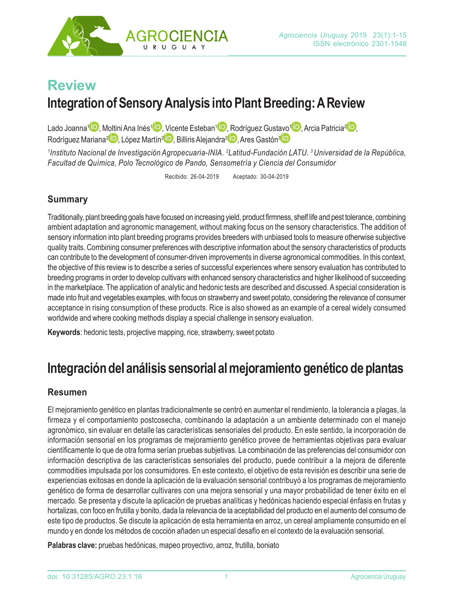

# **Review**

# **Integration of Sensory Analysis into Plant Breeding: A Review**

Lado Joanna<sup>1</sup> [, Moltini Ana](http://Orcid.org/0000-0002-3374-5346) Inés<sup>1</sup> D[, Vicen](http://Orcid.org/0000-0002-0565-8835)te Esteban<sup>1</sup> D[, Rodríguez G](http://Orcid.org/0000-0002-0846-303X)ustavo<sup>1</sup> D[, Arcia P](http://Orcid.org/0000-0002-3223-2514)atricia<sup>2</sup> D[,](http://Orcid.org/0000-0002-5195-9057) Rodríguez Mariana<sup>2</sup> D[, López M](http://Orcid.org/0000-0001-7491-409X)artín<sup>2</sup> D[, Billiris Alej](http://Orcid.org/0000-0003-4783-3504)andra<sup>2</sup> D[, Ares Ga](http://Orcid.org/0000-0001-8963-6555)stón<sup>3</sup> D

*1 Instituto Nacional de Investigación Agropecuaria-INIA. 2 Latitud-Fundación [LATU. 3 Univers](http://Orcid.org/0000-0002-0565-8835)idad de la República, Facultad de Química, Polo Tecnológico de Pando, Sensometría y Ciencia del Consumidor*

Recibido: 26-04-2019 Aceptado: 30-04-2019

# **Summary**

Traditionally, plant breeding goals have focused on increasing yield, product firmness, shelf life and pest tolerance, combining ambient adaptation and agronomic management, without making focus on the sensory characteristics. The addition of sensory information into plant breeding programs provides breeders with unbiased tools to measure otherwise subjective quality traits. Combining consumer preferences with descriptive information about the sensory characteristics of products can contribute to the development of consumer-driven improvements in diverse agronomical commodities. In this context, the objective of this review is to describe a series of successful experiences where sensory evaluation has contributed to breeding programs in order to develop cultivars with enhanced sensory characteristics and higher likelihood of succeeding in the marketplace. The application of analytic and hedonic tests are described and discussed. A special consideration is made into fruit and vegetables examples, with focus on strawberry and sweet potato, considering the relevance of consumer acceptance in rising consumption of these products. Rice is also showed as an example of a cereal widely consumed worldwide and where cooking methods display a special challenge in sensory evaluation.

**Keywords**: hedonic tests, projective mapping, rice, strawberry, sweet potato

# **Integración del análisis sensorial al mejoramiento genético de plantas**

# **Resumen**

El mejoramiento genético en plantas tradicionalmente se centró en aumentar el rendimiento, la tolerancia a plagas, la firmeza y el comportamiento postcosecha, combinando la adaptación a un ambiente determinado con el manejo agronómico, sin evaluar en detalle las características sensoriales del producto. En este sentido, la incorporación de información sensorial en los programas de mejoramiento genético provee de herramientas objetivas para evaluar científicamente lo que de otra forma serían pruebas subjetivas. La combinación de las preferencias del consumidor con información descriptiva de las características sensoriales del producto, puede contribuir a la mejora de diferente commodities impulsada por los consumidores. En este contexto, el objetivo de esta revisión es describir una serie de experiencias exitosas en donde la aplicación de la evaluación sensorial contribuyó a los programas de mejoramiento genético de forma de desarrollar cultivares con una mejora sensorial y una mayor probabilidad de tener éxito en el mercado. Se presenta y discute la aplicación de pruebas analíticas y hedónicas haciendo especial énfasis en frutas y hortalizas, con foco en frutilla y bonito, dada la relevancia de la aceptabilidad del producto en el aumento del consumo de este tipo de productos. Se discute la aplicación de esta herramienta en arroz, un cereal ampliamente consumido en el mundo y en donde los métodos de cocción añaden un especial desafío en el contexto de la evaluación sensorial.

**Palabras clave:** pruebas hedónicas, mapeo proyectivo, arroz, frutilla, boniato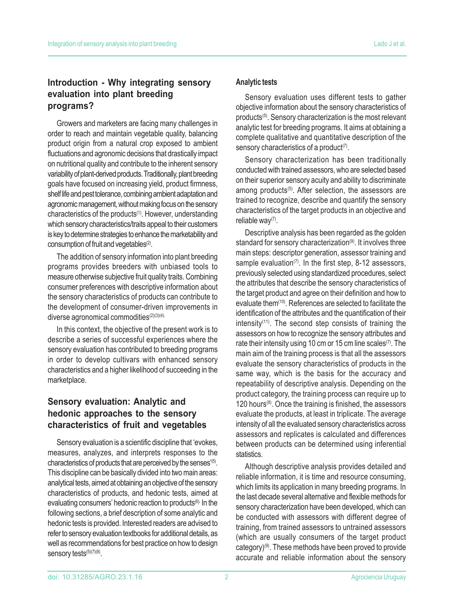# **Introduction - Why integrating sensory evaluation into plant breeding programs?**

Growers and marketers are facing many challenges in order to reach and maintain vegetable quality, balancing product origin from a natural crop exposed to ambient fluctuations and agronomic decisions that drastically impact on nutritional quality and contribute to the inherent sensory variability of plant-derived products. Traditionally, plant breeding goals have focused on increasing yield, product firmness, shelf life and pest tolerance, combining ambient adaptation and agronomic management, without making focus on the sensory characteristics of the products<sup>(1)</sup>. However, understanding which sensory characteristics/traits appeal to their customers is key to determine strategies to enhance the marketability and consumption of fruit and vegetables<sup>(2)</sup>.

The addition of sensory information into plant breeding programs provides breeders with unbiased tools to measure otherwise subjective fruit quality traits. Combining consumer preferences with descriptive information about the sensory characteristics of products can contribute to the development of consumer-driven improvements in diverse agronomical commodities<sup>(2)(3)(4).</sup>

In this context, the objective of the present work is to describe a series of successful experiences where the sensory evaluation has contributed to breeding programs in order to develop cultivars with enhanced sensory characteristics and a higher likelihood of succeeding in the marketplace.

# **Sensory evaluation: Analytic and hedonic approaches to the sensory characteristics of fruit and vegetables**

Sensory evaluation is a scientific discipline that 'evokes, measures, analyzes, and interprets responses to the characteristics of products that are perceived by the senses<sup>'(5)</sup>. This discipline can be basically divided into two main areas: analytical tests, aimed at obtaining an objective of the sensory characteristics of products, and hedonic tests, aimed at evaluating consumers' hedonic reaction to products<sup>(6).</sup> In the following sections, a brief description of some analytic and hedonic tests is provided. Interested readers are advised to refer to sensory evaluation textbooks for additional details, as well as recommendations for best practice on how to design sensory tests<sup>(5)(7)(8)</sup>.

## **Analytic tests**

Sensory evaluation uses different tests to gather objective information about the sensory characteristics of products<sup>(5)</sup>. Sensory characterization is the most relevant analytic test for breeding programs. It aims at obtaining a complete qualitative and quantitative description of the sensory characteristics of a product $(7)$ .

Sensory characterization has been traditionally conducted with trained assessors, who are selected based on their superior sensory acuity and ability to discriminate among products<sup>(5)</sup>. After selection, the assessors are trained to recognize, describe and quantify the sensory characteristics of the target products in an objective and reliable way<sup>(7)</sup>.

Descriptive analysis has been regarded as the golden standard for sensory characterization<sup>(9)</sup>. It involves three main steps: descriptor generation, assessor training and sample evaluation $(7)$ . In the first step, 8-12 assessors, previously selected using standardized procedures, select the attributes that describe the sensory characteristics of the target product and agree on their definition and how to evaluate them<sup>(10)</sup>. References are selected to facilitate the identification of the attributes and the quantification of their intensity $(11)$ . The second step consists of training the assessors on how to recognize the sensory attributes and rate their intensity using 10 cm or 15 cm line scales $(7)$ . The main aim of the training process is that all the assessors evaluate the sensory characteristics of products in the same way, which is the basis for the accuracy and repeatability of descriptive analysis. Depending on the product category, the training process can require up to 120 hours $(8)$ . Once the training is finished, the assessors evaluate the products, at least in triplicate. The average intensity of all the evaluated sensory characteristics across assessors and replicates is calculated and differences between products can be determined using inferential statistics.

Although descriptive analysis provides detailed and reliable information, it is time and resource consuming, which limits its application in many breeding programs. In the last decade several alternative and flexible methods for sensory characterization have been developed, which can be conducted with assessors with different degree of training, from trained assessors to untrained assessors (which are usually consumers of the target product category)(9). These methods have been proved to provide accurate and reliable information about the sensory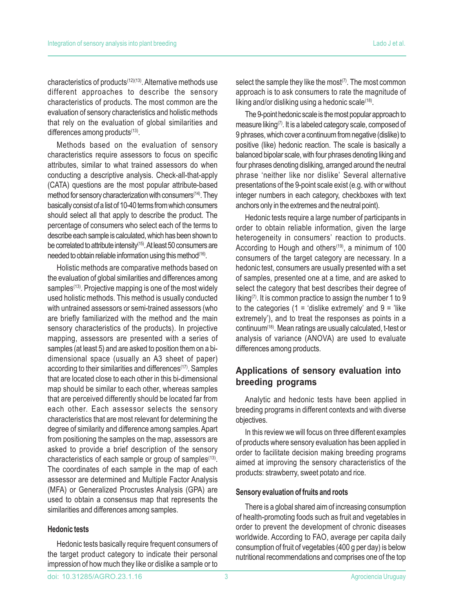characteristics of products(12)(13). Alternative methods use different approaches to describe the sensory characteristics of products. The most common are the evaluation of sensory characteristics and holistic methods that rely on the evaluation of global similarities and differences among products<sup>(13)</sup>.

Methods based on the evaluation of sensory characteristics require assessors to focus on specific attributes, similar to what trained assessors do when conducting a descriptive analysis. Check-all-that-apply (CATA) questions are the most popular attribute-based method for sensory characterization with consumers(14). They basically consist of a list of 10-40 terms from which consumers should select all that apply to describe the product. The percentage of consumers who select each of the terms to describe each sample is calculated, which has been shown to be correlated to attribute intensity<sup>(15)</sup>. At least 50 consumers are needed to obtain reliable information using this method<sup>(16)</sup>.

Holistic methods are comparative methods based on the evaluation of global similarities and differences among samples<sup>(13)</sup>. Projective mapping is one of the most widely used holistic methods. This method is usually conducted with untrained assessors or semi-trained assessors (who are briefly familiarized with the method and the main sensory characteristics of the products). In projective mapping, assessors are presented with a series of samples (at least 5) and are asked to position them on a bidimensional space (usually an A3 sheet of paper) according to their similarities and differences<sup>(17)</sup>. Samples that are located close to each other in this bi-dimensional map should be similar to each other, whereas samples that are perceived differently should be located far from each other. Each assessor selects the sensory characteristics that are most relevant for determining the degree of similarity and difference among samples. Apart from positioning the samples on the map, assessors are asked to provide a brief description of the sensory characteristics of each sample or group of samples<sup>(13)</sup>. The coordinates of each sample in the map of each assessor are determined and Multiple Factor Analysis (MFA) or Generalized Procrustes Analysis (GPA) are used to obtain a consensus map that represents the similarities and differences among samples.

## **Hedonic tests**

Hedonic tests basically require frequent consumers of the target product category to indicate their personal impression of how much they like or dislike a sample or to

select the sample they like the most $(7)$ . The most common approach is to ask consumers to rate the magnitude of liking and/or disliking using a hedonic scale $(18)$ .

The 9-point hedonic scale is the most popular approach to measure liking<sup>(7)</sup>. It is a labeled category scale, composed of 9 phrases, which cover a continuum from negative (dislike) to positive (like) hedonic reaction. The scale is basically a balanced bipolar scale, with four phrases denoting liking and four phrases denoting disliking, arranged around the neutral phrase 'neither like nor dislike' Several alternative presentations of the 9-point scale exist (e.g. with or without integer numbers in each category, checkboxes with text anchors only in the extremes and the neutral point).

Hedonic tests require a large number of participants in order to obtain reliable information, given the large heterogeneity in consumers' reaction to products. According to Hough and others<sup>(19)</sup>, a minimum of 100 consumers of the target category are necessary. In a hedonic test, consumers are usually presented with a set of samples, presented one at a time, and are asked to select the category that best describes their degree of liking<sup> $(7)$ </sup>. It is common practice to assign the number 1 to 9 to the categories (1 = 'dislike extremely' and  $9 =$ 'like extremely'), and to treat the responses as points in a continuum(18). Mean ratings are usually calculated, t-test or analysis of variance (ANOVA) are used to evaluate differences among products.

## **Applications of sensory evaluation into breeding programs**

Analytic and hedonic tests have been applied in breeding programs in different contexts and with diverse objectives.

In this review we will focus on three different examples of products where sensory evaluation has been applied in order to facilitate decision making breeding programs aimed at improving the sensory characteristics of the products: strawberry, sweet potato and rice.

#### **Sensory evaluation of fruits and roots**

There is a global shared aim of increasing consumption of health-promoting foods such as fruit and vegetables in order to prevent the development of chronic diseases worldwide. According to FAO, average per capita daily consumption of fruit of vegetables (400 g per day) is below nutritional recommendations and comprises one of the top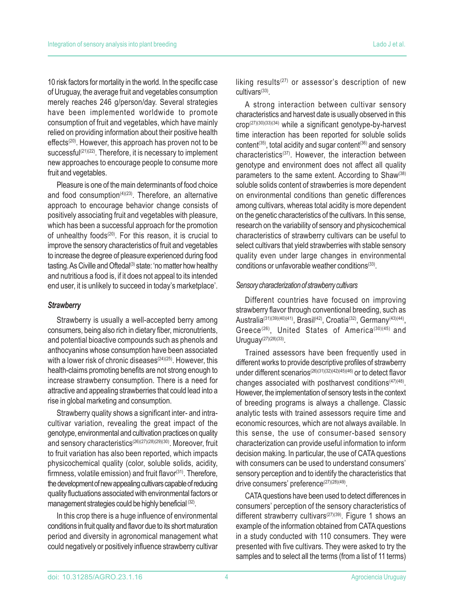10 risk factors for mortality in the world. In the specific case of Uruguay, the average fruit and vegetables consumption merely reaches 246 g/person/day. Several strategies have been implemented worldwide to promote consumption of fruit and vegetables, which have mainly relied on providing information about their positive health effects<sup>(20)</sup>. However, this approach has proven not to be successful<sup>(21)(22)</sup>. Therefore, it is necessary to implement new approaches to encourage people to consume more fruit and vegetables.

Pleasure is one of the main determinants of food choice and food consumption $(4)(23)$ . Therefore, an alternative approach to encourage behavior change consists of positively associating fruit and vegetables with pleasure, which has been a successful approach for the promotion of unhealthy foods<sup>(20)</sup>. For this reason, it is crucial to improve the sensory characteristics of fruit and vegetables to increase the degree of pleasure experienced during food tasting. As Civille and Oftedal<sup>(3)</sup> state: 'no matter how healthy and nutritious a food is, if it does not appeal to its intended end user, it is unlikely to succeed in today's marketplace'.

## *Strawberry*

Strawberry is usually a well-accepted berry among consumers, being also rich in dietary fiber, micronutrients, and potential bioactive compounds such as phenols and anthocyanins whose consumption have been associated with a lower risk of chronic diseases<sup>(24)(25)</sup>. However, this health-claims promoting benefits are not strong enough to increase strawberry consumption. There is a need for attractive and appealing strawberries that could lead into a rise in global marketing and consumption.

Strawberry quality shows a significant inter- and intracultivar variation, revealing the great impact of the genotype, environmental and cultivation practices on quality and sensory characteristics<sup>(26)(27)(28)(29)(30)</sup>. Moreover, fruit to fruit variation has also been reported, which impacts physicochemical quality (color, soluble solids, acidity, firmness, volatile emission) and fruit flavor $(31)$ . Therefore, the development of new appealing cultivars capable of reducing quality fluctuations associated with environmental factors or management strategies could be highly beneficial (32).

In this crop there is a huge influence of environmental conditions in fruit quality and flavor due to its short maturation period and diversity in agronomical management what could negatively or positively influence strawberry cultivar liking results<sup> $(27)$ </sup> or assessor's description of new cultivars(33).

A strong interaction between cultivar sensory characteristics and harvest date is usually observed in this crop(27)(30)(33)(34) while a significant genotype-by-harvest time interaction has been reported for soluble solids content<sup>(35)</sup>, total acidity and sugar content<sup>(36)</sup> and sensory characteristics<sup>(37)</sup>. However, the interaction between genotype and environment does not affect all quality parameters to the same extent. According to Shaw<sup>(38)</sup> soluble solids content of strawberries is more dependent on environmental conditions than genetic differences among cultivars, whereas total acidity is more dependent on the genetic characteristics of the cultivars. In this sense, research on the variability of sensory and physicochemical characteristics of strawberry cultivars can be useful to select cultivars that yield strawberries with stable sensory quality even under large changes in environmental conditions or unfavorable weather conditions<sup>(33)</sup>.

## *Sensory characterization of strawberry cultivars*

Different countries have focused on improving strawberry flavor through conventional breeding, such as Australia<sup>(31)(39)(40)(41)</sup>, Brasil<sup>(42)</sup>, Croatia<sup>(32)</sup>, Germany<sup>(43)(44)</sup>, Greece<sup>(26)</sup>, United States of America<sup>(30)(45)</sup> and Uruguay(27)(28)(33).

Trained assessors have been frequently used in different works to provide descriptive profiles of strawberry under different scenarios<sup>(26)(31)(32)(42)(45)(46)</sup> or to detect flavor changes associated with postharvest conditions $(47)(48)$ . However, the implementation of sensory tests in the context of breeding programs is always a challenge. Classic analytic tests with trained assessors require time and economic resources, which are not always available. In this sense, the use of consumer-based sensory characterization can provide useful information to inform decision making. In particular, the use of CATA questions with consumers can be used to understand consumers' sensory perception and to identify the characteristics that drive consumers' preference<sup>(27)(28)(49)</sup>.

CATA questions have been used to detect differences in consumers' perception of the sensory characteristics of different strawberry cultivars<sup>(27)(39)</sup>. Figure 1 shows an example of the information obtained from CATA questions in a study conducted with 110 consumers. They were presented with five cultivars. They were asked to try the samples and to select all the terms (from a list of 11 terms)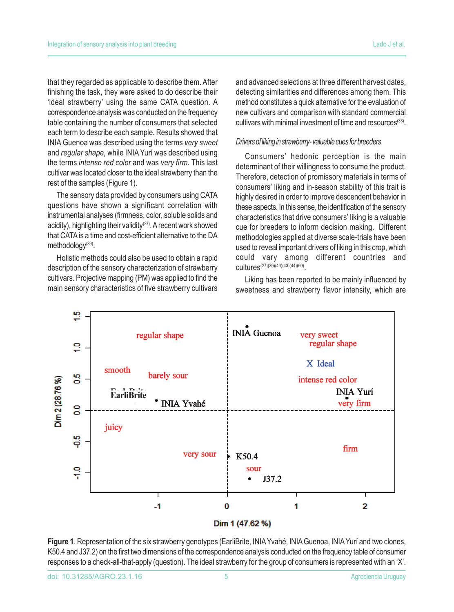that they regarded as applicable to describe them. After finishing the task, they were asked to do describe their 'ideal strawberry' using the same CATA question. A correspondence analysis was conducted on the frequency table containing the number of consumers that selected each term to describe each sample. Results showed that INIA Guenoa was described using the terms *very sweet* and *regular shape,* while INIA Yurí was described using the terms *intense red color* and was *very firm*. This last cultivar was located closer to the ideal strawberry than the rest of the samples (Figure 1).

The sensory data provided by consumers using CATA questions have shown a significant correlation with instrumental analyses (firmness, color, soluble solids and acidity), highlighting their validity<sup>(27)</sup>. A recent work showed that CATA is a time and cost-efficient alternative to the DA methodology<sup>(39)</sup>.

Holistic methods could also be used to obtain a rapid description of the sensory characterization of strawberry cultivars. Projective mapping (PM) was applied to find the main sensory characteristics of five strawberry cultivars and advanced selections at three different harvest dates, detecting similarities and differences among them. This method constitutes a quick alternative for the evaluation of new cultivars and comparison with standard commercial cultivars with minimal investment of time and resources<sup>(33)</sup>.

### *Drivers of liking in strawberry- valuable cues for breeders*

Consumers' hedonic perception is the main determinant of their willingness to consume the product. Therefore, detection of promissory materials in terms of consumers' liking and in-season stability of this trait is highly desired in order to improve descendent behavior in these aspects. In this sense, the identification of the sensory characteristics that drive consumers' liking is a valuable cue for breeders to inform decision making. Different methodologies applied at diverse scale-trials have been used to reveal important drivers of liking in this crop, which could vary among different countries and cultures(27)(39)(40)(43)(44)(50).

Liking has been reported to be mainly influenced by sweetness and strawberry flavor intensity, which are



Dim 1 (47.62 %)

**Figure 1**. Representation of the six strawberry genotypes (EarliBrite, INIA Yvahé, INIA Guenoa, INIA Yurí and two clones, K50.4 and J37.2) on the first two dimensions of the correspondence analysis conducted on the frequency table of consumer responses to a check-all-that-apply (question). The ideal strawberry for the group of consumers is represented with an 'X'.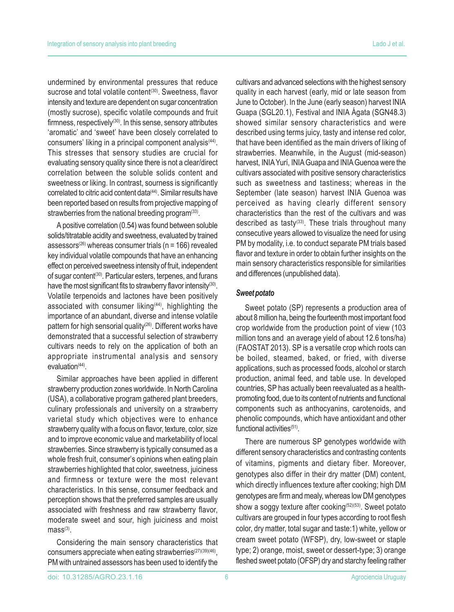undermined by environmental pressures that reduce sucrose and total volatile content<sup>(30)</sup>. Sweetness, flavor intensity and texture are dependent on sugar concentration (mostly sucrose), specific volatile compounds and fruit firmness, respectively(30). In this sense, sensory attributes 'aromatic' and 'sweet' have been closely correlated to consumers' liking in a principal component analysis<sup>(44)</sup>. This stresses that sensory studies are crucial for evaluating sensory quality since there is not a clear/direct correlation between the soluble solids content and sweetness or liking. In contrast, sourness is significantly correlated to citric acid content data<sup>(44)</sup>. Similar results have been reported based on results from projective mapping of strawberries from the national breeding program $(33)$ .

A positive correlation (0.54) was found between soluble solids/titratable acidity and sweetness, evaluated by trained assessors<sup>(26)</sup> whereas consumer trials ( $n = 166$ ) revealed key individual volatile compounds that have an enhancing effect on perceived sweetness intensity of fruit, independent of sugar content<sup>(30)</sup>. Particular esters, terpenes, and furans have the most significant fits to strawberry flavor intensity<sup>(30)</sup>. Volatile terpenoids and lactones have been positively associated with consumer liking<sup>(44)</sup>, highlighting the importance of an abundant, diverse and intense volatile pattern for high sensorial quality<sup>(26)</sup>. Different works have demonstrated that a successful selection of strawberry cultivars needs to rely on the application of both an appropriate instrumental analysis and sensory evaluation $(44)$ .

Similar approaches have been applied in different strawberry production zones worldwide. In North Carolina (USA), a collaborative program gathered plant breeders, culinary professionals and university on a strawberry varietal study which objectives were to enhance strawberry quality with a focus on flavor, texture, color, size and to improve economic value and marketability of local strawberries. Since strawberry is typically consumed as a whole fresh fruit, consumer's opinions when eating plain strawberries highlighted that color, sweetness, juiciness and firmness or texture were the most relevant characteristics. In this sense, consumer feedback and perception shows that the preferred samples are usually associated with freshness and raw strawberry flavor, moderate sweet and sour, high juiciness and moist  $mass<sup>(3)</sup>$ .

Considering the main sensory characteristics that consumers appreciate when eating strawberries<sup>(27)(39)(46)</sup>, PM with untrained assessors has been used to identify the cultivars and advanced selections with the highest sensory quality in each harvest (early, mid or late season from June to October). In the June (early season) harvest INIA Guapa (SGL20.1), Festival and INIA Ágata (SGN48.3) showed similar sensory characteristics and were described using terms juicy, tasty and intense red color, that have been identified as the main drivers of liking of strawberries. Meanwhile, in the August (mid-season) harvest, INIA Yurí, INIA Guapa and INIA Guenoa were the cultivars associated with positive sensory characteristics such as sweetness and tastiness; whereas in the September (late season) harvest INIA Guenoa was perceived as having clearly different sensory characteristics than the rest of the cultivars and was described as tasty<sup>(33)</sup>. These trials throughout many consecutive years allowed to visualize the need for using PM by modality, i.e. to conduct separate PM trials based flavor and texture in order to obtain further insights on the main sensory characteristics responsible for similarities and differences (unpublished data).

## *Sweet potato*

Sweet potato (SP) represents a production area of about 8 million ha, being the fourteenth most important food crop worldwide from the production point of view (103 million tons and an average yield of about 12.6 tons/ha) (FAOSTAT 2013). SP is a versatile crop which roots can be boiled, steamed, baked, or fried, with diverse applications, such as processed foods, alcohol or starch production, animal feed, and table use. In developed countries, SP has actually been reevaluated as a healthpromoting food, due to its content of nutrients and functional components such as anthocyanins, carotenoids, and phenolic compounds, which have antioxidant and other functional activities<sup>(51)</sup>.

There are numerous SP genotypes worldwide with different sensory characteristics and contrasting contents of vitamins, pigments and dietary fiber. Moreover, genotypes also differ in their dry matter (DM) content, which directly influences texture after cooking; high DM genotypes are firm and mealy, whereas low DM genotypes show a soggy texture after cooking<sup>(52)(53)</sup>. Sweet potato cultivars are grouped in four types according to root flesh color, dry matter, total sugar and taste:1) white, yellow or cream sweet potato (WFSP), dry, low-sweet or staple type; 2) orange, moist, sweet or dessert-type; 3) orange fleshed sweet potato (OFSP) dry and starchy feeling rather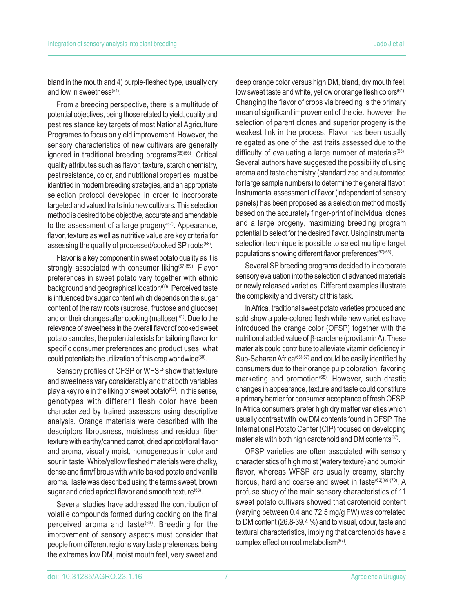bland in the mouth and 4) purple-fleshed type, usually dry and low in sweetness<sup>(54)</sup>.

From a breeding perspective, there is a multitude of potential objectives, being those related to yield, quality and pest resistance key targets of most National Agriculture Programes to focus on yield improvement. However, the sensory characteristics of new cultivars are generally ignored in traditional breeding programs<sup>(55)(56)</sup>. Critical quality attributes such as flavor, texture, starch chemistry, pest resistance, color, and nutritional properties, must be identified in modern breeding strategies, and an appropriate selection protocol developed in order to incorporate targeted and valued traits into new cultivars. This selection method is desired to be objective, accurate and amendable to the assessment of a large progeny $(57)$ . Appearance, flavor, texture as well as nutritive value are key criteria for assessing the quality of processed/cooked SP roots<sup>(58)</sup>.

Flavor is a key component in sweet potato quality as it is strongly associated with consumer liking<sup>(57)(59)</sup>. Flavor preferences in sweet potato vary together with ethnic background and geographical location<sup>(60)</sup>. Perceived taste is influenced by sugar content which depends on the sugar content of the raw roots (sucrose, fructose and glucose) and on their changes after cooking (maltose)<sup>(61)</sup>. Due to the relevance of sweetness in the overall flavor of cooked sweet potato samples, the potential exists for tailoring flavor for specific consumer preferences and product uses, what could potentiate the utilization of this crop worldwide<sup>(60)</sup>.

Sensory profiles of OFSP or WFSP show that texture and sweetness vary considerably and that both variables play a key role in the liking of sweet potato<sup>(62)</sup>. In this sense, genotypes with different flesh color have been characterized by trained assessors using descriptive analysis. Orange materials were described with the descriptors fibrousness, moistness and residual fiber texture with earthy/canned carrot, dried apricot/floral flavor and aroma, visually moist, homogeneous in color and sour in taste. White/yellow fleshed materials were chalky, dense and firm/fibrous with white baked potato and vanilla aroma. Taste was described using the terms sweet, brown sugar and dried apricot flavor and smooth texture<sup>(63)</sup>.

Several studies have addressed the contribution of volatile compounds formed during cooking on the final perceived aroma and taste<sup>(63)</sup>. Breeding for the improvement of sensory aspects must consider that people from different regions vary taste preferences, being the extremes low DM, moist mouth feel, very sweet and deep orange color versus high DM, bland, dry mouth feel, low sweet taste and white, yellow or orange flesh colors<sup>(64)</sup>. Changing the flavor of crops via breeding is the primary mean of significant improvement of the diet, however, the selection of parent clones and superior progeny is the weakest link in the process. Flavor has been usually relegated as one of the last traits assessed due to the difficulty of evaluating a large number of materials $(63)$ . Several authors have suggested the possibility of using aroma and taste chemistry (standardized and automated for large sample numbers) to determine the general flavor. Instrumental assessment of flavor (independent of sensory panels) has been proposed as a selection method mostly based on the accurately finger-print of individual clones and a large progeny, maximizing breeding program potential to select for the desired flavor. Using instrumental selection technique is possible to select multiple target populations showing different flavor preferences<sup>(57)(65)</sup>.

Several SP breeding programs decided to incorporate sensory evaluation into the selection of advanced materials or newly released varieties. Different examples illustrate the complexity and diversity of this task.

In Africa, traditional sweet potato varieties produced and sold show a pale-colored flesh while new varieties have introduced the orange color (OFSP) together with the nutritional added value of β-carotene (provitamin A). These materials could contribute to alleviate vitamin deficiency in Sub-Saharan Africa<sup>(66)(67)</sup> and could be easily identified by consumers due to their orange pulp coloration, favoring marketing and promotion<sup>(68)</sup>. However, such drastic changes in appearance, texture and taste could constitute a primary barrier for consumer acceptance of fresh OFSP. In Africa consumers prefer high dry matter varieties which usually contrast with low DM contents found in OFSP. The International Potato Center (CIP) focused on developing materials with both high carotenoid and DM contents<sup>(67)</sup>.

OFSP varieties are often associated with sensory characteristics of high moist (watery texture) and pumpkin flavor, whereas WFSP are usually creamy, starchy, fibrous, hard and coarse and sweet in taste<sup>(62)(69)(70)</sup>. A profuse study of the main sensory characteristics of 11 sweet potato cultivars showed that carotenoid content (varying between 0.4 and 72.5 mg/g FW) was correlated to DM content (26.8-39.4 %) and to visual, odour, taste and textural characteristics, implying that carotenoids have a complex effect on root metabolism<sup>(67)</sup>.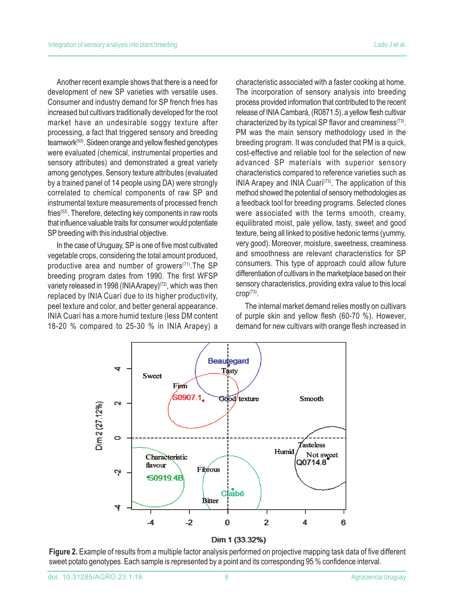Another recent example shows that there is a need for development of new SP varieties with versatile uses. Consumer and industry demand for SP french fries has increased but cultivars traditionally developed for the root market have an undesirable soggy texture after processing, a fact that triggered sensory and breeding teamwork(53). Sixteen orange and yellow fleshed genotypes were evaluated (chemical, instrumental properties and sensory attributes) and demonstrated a great variety among genotypes. Sensory texture attributes (evaluated by a trained panel of 14 people using DA) were strongly correlated to chemical components of raw SP and instrumental texture measurements of processed french fries<sup>(53)</sup>. Therefore, detecting key components in raw roots that influence valuable traits for consumer would potentiate SP breeding with this industrial objective.

In the case of Uruguay, SP is one of five most cultivated vegetable crops, considering the total amount produced, productive area and number of growers $(71)$ . The SP breeding program dates from 1990. The first WFSP variety released in 1998 (INIA Arapey)<sup>(72)</sup>, which was then replaced by INIA Cuarí due to its higher productivity, peel texture and color, and better general appearance. INIA Cuarí has a more humid texture (less DM content 18-20 % compared to 25-30 % in INIA Arapey) a characteristic associated with a faster cooking at home. The incorporation of sensory analysis into breeding process provided information that contributed to the recent release of INIA Cambará, (R0871.5), a yellow flesh cultivar characterized by its typical SP flavor and creaminess $(73)$ . PM was the main sensory methodology used in the breeding program. It was concluded that PM is a quick, cost-effective and reliable tool for the selection of new advanced SP materials with superior sensory characteristics compared to reference varieties such as INIA Arapey and INIA Cuari<sup>(73)</sup>. The application of this method showed the potential of sensory methodologies as a feedback tool for breeding programs. Selected clones were associated with the terms smooth, creamy, equilibrated moist, pale yellow, tasty, sweet and good texture, being all linked to positive hedonic terms (yummy, very good). Moreover, moisture, sweetness, creaminess and smoothness are relevant characteristics for SP consumers. This type of approach could allow future differentiation of cultivars in the marketplace based on their sensory characteristics, providing extra value to this local  $C \Gamma(p^{(73)}).$ 

The internal market demand relies mostly on cultivars of purple skin and yellow flesh (60-70 %). However, demand for new cultivars with orange flesh increased in



**Beauregard** Tasty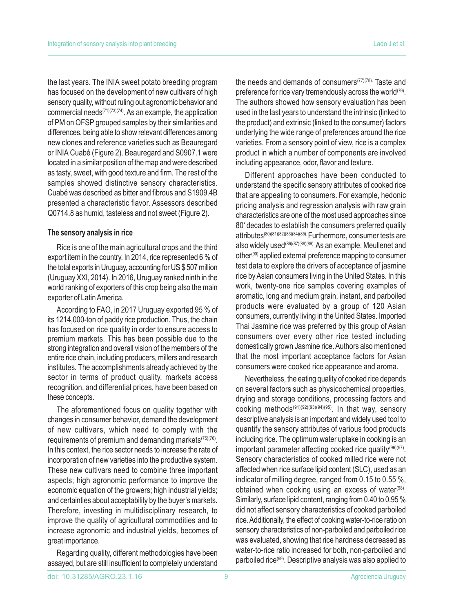the last years. The INIA sweet potato breeding program has focused on the development of new cultivars of high sensory quality, without ruling out agronomic behavior and commercial needs $(71)(73)(74)$ . As an example, the application of PM on OFSP grouped samples by their similarities and differences, being able to show relevant differences among new clones and reference varieties such as Beauregard or INIA Cuabé (Figure 2). Beauregard and S0907.1 were located in a similar position of the map and were described as tasty, sweet, with good texture and firm. The rest of the samples showed distinctive sensory characteristics. Cuabé was described as bitter and fibrous and S1909.4B presented a characteristic flavor. Assessors described Q0714.8 as humid, tasteless and not sweet (Figure 2).

## **The sensory analysis in rice**

Rice is one of the main agricultural crops and the third export item in the country. In 2014, rice represented 6 % of the total exports in Uruguay, accounting for US \$ 507 million (Uruguay XXI, 2014). In 2016, Uruguay ranked ninth in the world ranking of exporters of this crop being also the main exporter of Latin America.

According to FAO, in 2017 Uruguay exported 95 % of its 1214,000-ton of paddy rice production. Thus, the chain has focused on rice quality in order to ensure access to premium markets. This has been possible due to the strong integration and overall vision of the members of the entire rice chain, including producers, millers and research institutes. The accomplishments already achieved by the sector in terms of product quality, markets access recognition, and differential prices, have been based on these concepts.

The aforementioned focus on quality together with changes in consumer behavior, demand the development of new cultivars, which need to comply with the requirements of premium and demanding markets $(75)(76)$ . In this context, the rice sector needs to increase the rate of incorporation of new varieties into the productive system. These new cultivars need to combine three important aspects; high agronomic performance to improve the economic equation of the growers; high industrial yields; and certainties about acceptability by the buyer's markets. Therefore, investing in multidisciplinary research, to improve the quality of agricultural commodities and to increase agronomic and industrial yields, becomes of great importance.

Regarding quality, different methodologies have been assayed, but are still insufficient to completely understand the needs and demands of consumers $(77)(78)$ . Taste and preference for rice vary tremendously across the world $(79)$ . The authors showed how sensory evaluation has been used in the last years to understand the intrinsic (linked to the product) and extrinsic (linked to the consumer) factors underlying the wide range of preferences around the rice varieties. From a sensory point of view, rice is a complex product in which a number of components are involved including appearance, odor, flavor and texture.

Different approaches have been conducted to understand the specific sensory attributes of cooked rice that are appealing to consumers. For example, hedonic pricing analysis and regression analysis with raw grain characteristics are one of the most used approaches since 80' decades to establish the consumers preferred quality attributes(80)(81)(82)(83)(84)(85). Furthermore, consumer tests are also widely used(86)(87)(88)(89). As an example, Meullenet and other(90) applied external preference mapping to consumer test data to explore the drivers of acceptance of jasmine rice by Asian consumers living in the United States. In this work, twenty-one rice samples covering examples of aromatic, long and medium grain, instant, and parboiled products were evaluated by a group of 120 Asian consumers, currently living in the United States. Imported Thai Jasmine rice was preferred by this group of Asian consumers over every other rice tested including domestically grown Jasmine rice. Authors also mentioned that the most important acceptance factors for Asian consumers were cooked rice appearance and aroma.

Nevertheless, the eating quality of cooked rice depends on several factors such as physicochemical properties, drying and storage conditions, processing factors and cooking methods $(91)(92)(93)(94)(95)$ . In that way, sensory descriptive analysis is an important and widely used tool to quantify the sensory attributes of various food products including rice. The optimum water uptake in cooking is an important parameter affecting cooked rice quality<sup>(96)(97)</sup>. Sensory characteristics of cooked milled rice were not affected when rice surface lipid content (SLC), used as an indicator of milling degree, ranged from 0.15 to 0.55 %, obtained when cooking using an excess of water<sup>(98)</sup>. Similarly, surface lipid content, ranging from 0.40 to 0.95 % did not affect sensory characteristics of cooked parboiled rice. Additionally, the effect of cooking water-to-rice ratio on sensory characteristics of non-parboiled and parboiled rice was evaluated, showing that rice hardness decreased as water-to-rice ratio increased for both, non-parboiled and parboiled rice(99). Descriptive analysis was also applied to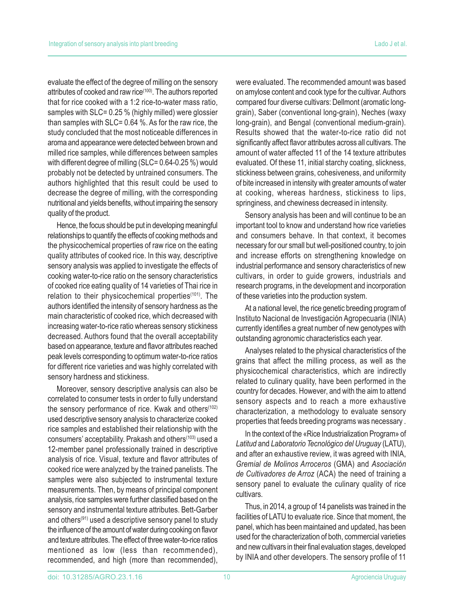evaluate the effect of the degree of milling on the sensory attributes of cooked and raw rice<sup>(100)</sup>. The authors reported that for rice cooked with a 1:2 rice-to-water mass ratio, samples with SLC= 0.25 % (highly milled) were glossier than samples with SLC= 0.64 %. As for the raw rice, the study concluded that the most noticeable differences in aroma and appearance were detected between brown and milled rice samples, while differences between samples with different degree of milling (SLC= 0.64-0.25 %) would probably not be detected by untrained consumers. The authors highlighted that this result could be used to decrease the degree of milling, with the corresponding nutritional and yields benefits, without impairing the sensory quality of the product.

Hence, the focus should be put in developing meaningful relationships to quantify the effects of cooking methods and the physicochemical properties of raw rice on the eating quality attributes of cooked rice. In this way, descriptive sensory analysis was applied to investigate the effects of cooking water-to-rice ratio on the sensory characteristics of cooked rice eating quality of 14 varieties of Thai rice in relation to their physicochemical properties<sup>(101)</sup>. The authors identified the intensity of sensory hardness as the main characteristic of cooked rice, which decreased with increasing water-to-rice ratio whereas sensory stickiness decreased. Authors found that the overall acceptability based on appearance, texture and flavor attributes reached peak levels corresponding to optimum water-to-rice ratios for different rice varieties and was highly correlated with sensory hardness and stickiness.

Moreover, sensory descriptive analysis can also be correlated to consumer tests in order to fully understand the sensory performance of rice. Kwak and others<sup>(102)</sup> used descriptive sensory analysis to characterize cooked rice samples and established their relationship with the consumers' acceptability. Prakash and others<sup>(103)</sup> used a 12-member panel professionally trained in descriptive analysis of rice. Visual, texture and flavor attributes of cooked rice were analyzed by the trained panelists. The samples were also subjected to instrumental texture measurements. Then, by means of principal component analysis, rice samples were further classified based on the sensory and instrumental texture attributes. Bett-Garber and others<sup>(91)</sup> used a descriptive sensory panel to study the influence of the amount of water during cooking on flavor and texture attributes. The effect of three water-to-rice ratios mentioned as low (less than recommended), recommended, and high (more than recommended), were evaluated. The recommended amount was based on amylose content and cook type for the cultivar. Authors compared four diverse cultivars: Dellmont (aromatic longgrain), Saber (conventional long-grain), Neches (waxy long-grain), and Bengal (conventional medium-grain). Results showed that the water-to-rice ratio did not significantly affect flavor attributes across all cultivars. The amount of water affected 11 of the 14 texture attributes evaluated. Of these 11, initial starchy coating, slickness, stickiness between grains, cohesiveness, and uniformity of bite increased in intensity with greater amounts of water at cooking, whereas hardness, stickiness to lips, springiness, and chewiness decreased in intensity.

Sensory analysis has been and will continue to be an important tool to know and understand how rice varieties and consumers behave. In that context, it becomes necessary for our small but well-positioned country, to join and increase efforts on strengthening knowledge on industrial performance and sensory characteristics of new cultivars, in order to guide growers, industrials and research programs, in the development and incorporation of these varieties into the production system.

At a national level, the rice genetic breeding program of Instituto Nacional de Investigación Agropecuaria (INIA) currently identifies a great number of new genotypes with outstanding agronomic characteristics each year.

Analyses related to the physical characteristics of the grains that affect the milling process, as well as the physicochemical characteristics, which are indirectly related to culinary quality, have been performed in the country for decades. However, and with the aim to attend sensory aspects and to reach a more exhaustive characterization, a methodology to evaluate sensory properties that feeds breeding programs was necessary .

In the context of the «Rice Industrialization Program» of *Latitud* and *Laboratorio Tecnológico del Uruguay* (LATU), and after an exhaustive review, it was agreed with INIA, *Gremial de Molinos Arroceros* (GMA) and *Asociación de Cultivadores de Arroz* (ACA) the need of training a sensory panel to evaluate the culinary quality of rice cultivars.

Thus, in 2014, a group of 14 panelists was trained in the facilities of LATU to evaluate rice. Since that moment, the panel, which has been maintained and updated, has been used for the characterization of both, commercial varieties and new cultivars in their final evaluation stages, developed by INIA and other developers. The sensory profile of 11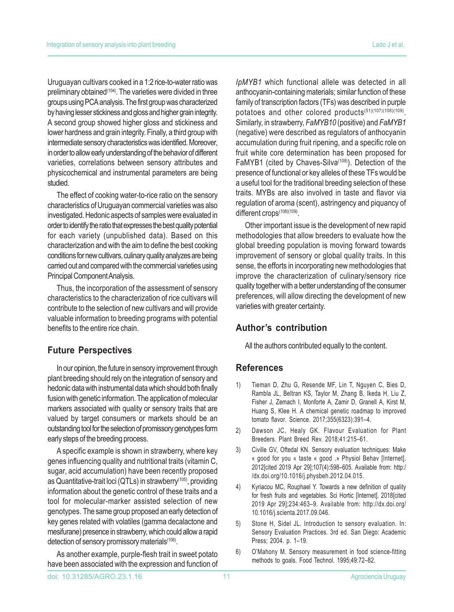Uruguayan cultivars cooked in a 1:2 rice-to-water ratio was preliminary obtained<sup>(104)</sup>. The varieties were divided in three groups using PCA analysis. The first group was characterized by having lesser stickiness and gloss and higher grain integrity. A second group showed higher gloss and stickiness and lower hardness and grain integrity. Finally, a third group with intermediate sensory characteristics was identified. Moreover, in order to allow early understanding of the behavior of different varieties, correlations between sensory attributes and physicochemical and instrumental parameters are being studied.

The effect of cooking water-to-rice ratio on the sensory characteristics of Uruguayan commercial varieties was also investigated. Hedonic aspects of samples were evaluated in order to identify the ratio that expresses the best quality potential for each variety (unpublished data). Based on this characterization and with the aim to define the best cooking conditions for new cultivars, culinary quality analyzes are being carried out and compared with the commercial varieties using Principal Component Analysis.

Thus, the incorporation of the assessment of sensory characteristics to the characterization of rice cultivars will contribute to the selection of new cultivars and will provide valuable information to breeding programs with potential benefits to the entire rice chain.

## **Future Perspectives**

In our opinion, the future in sensory improvement through plant breeding should rely on the integration of sensory and hedonic data with instrumental data which should both finally fusion with genetic information. The application of molecular markers associated with quality or sensory traits that are valued by target consumers or markets should be an outstanding tool for the selection of promissory genotypes form early steps of the breeding process.

A specific example is shown in strawberry, where key genes influencing quality and nutritional traits (vitamin C, sugar, acid accumulation) have been recently proposed as Quantitative-trait loci (QTLs) in strawberry<sup>(105)</sup>, providing information about the genetic control of these traits and a tool for molecular-marker assisted selection of new genotypes. The same group proposed an early detection of key genes related with volatiles (gamma decalactone and mesifurane) presence in strawberry, which could allow a rapid detection of sensory promissory materials<sup>(106)</sup>.

As another example, purple-flesh trait in sweet potato have been associated with the expression and function of *IpMYB1* which functional allele was detected in all anthocyanin-containing materials; similar function of these family of transcription factors (TFs) was described in purple potatoes and other colored products<sup>(51)(107)(108)(109)</sup>. Similarly, in strawberry, *FaMYB10* (positive) and *FaMYB1* (negative) were described as regulators of anthocyanin accumulation during fruit ripening, and a specific role on fruit white core determination has been proposed for FaMYB1 (cited by Chaves-Silva<sup>(109)</sup>). Detection of the presence of functional or key alleles of these TFs would be a useful tool for the traditional breeding selection of these traits. MYBs are also involved in taste and flavor via regulation of aroma (scent), astringency and piquancy of different crops<sup>(108)(109)</sup>.

Other important issue is the development of new rapid methodologies that allow breeders to evaluate how the global breeding population is moving forward towards improvement of sensory or global quality traits. In this sense, the efforts in incorporating new methodologies that improve the characterization of culinary/sensory rice quality together with a better understanding of the consumer preferences, will allow directing the development of new varieties with greater certainty.

# **Author's contribution**

All the authors contributed equally to the content.

## **References**

- 1) Tieman D, Zhu G, Resende MF, Lin T, Nguyen C, Bies D, Rambla JL, Beltran KS, Taylor M, Zhang B, Ikeda H, Liu Z, Fisher J, Zemach I, Monforte A, Zamir D, Granell A, Kirst M, Huang S, Klee H. A chemical genetic roadmap to improved tomato flavor. Science. 2017;355(6323):391–4.
- 2) Dawson JC, Healy GK. Flavour Evaluation for Plant Breeders. Plant Breed Rev. 2018;41:215–61.
- 3) Civille GV, Oftedal KN. Sensory evaluation techniques: Make « good for you « taste « good .» Physiol Behav [Internet]. 2012[cited 2019 Apr 29];107(4):598–605. Available from: http:/ /dx.doi.org/10.1016/j.physbeh.2012.04.015.
- 4) Kyriacou MC, Rouphael Y. Towards a new definition of quality for fresh fruits and vegetables. Sci Hortic [Internet]. 2018[cited 2019 Apr 29];234:463–9. Available from: http://dx.doi.org/ 10.1016/j.scienta.2017.09.046.
- 5) Stone H, Sidel JL. Introduction to sensory evaluation. In: Sensory Evaluation Practices. 3rd ed. San Diego: Academic Press; 2004. p. 1–19.
- 6) O'Mahony M. Sensory measurement in food science-fitting methods to goals. Food Technol. 1995;49:72–82.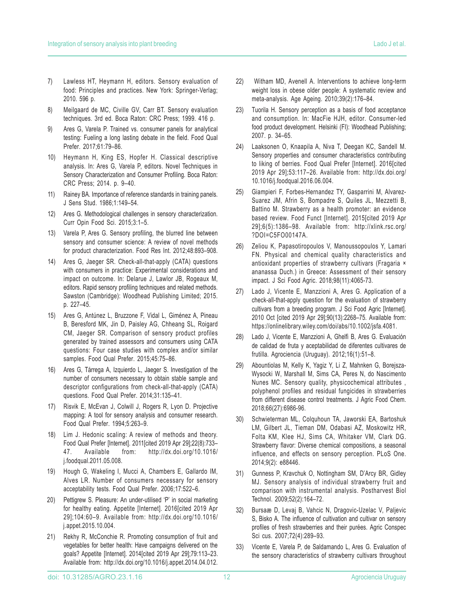- 7) Lawless HT, Heymann H, editors. Sensory evaluation of food: Principles and practices. New York: Springer-Verlag; 2010. 596 p.
- 8) Meilgaard de MC, Civille GV, Carr BT. Sensory evaluation techniques. 3rd ed. Boca Raton: CRC Press; 1999. 416 p.
- 9) Ares G, Varela P. Trained vs. consumer panels for analytical testing: Fueling a long lasting debate in the field. Food Qual Prefer. 2017;61:79–86.
- 10) Heymann H, King ES, Hopfer H. Classical descriptive analysis. In: Ares G, Varela P, editors. Novel Techniques in Sensory Characterization and Consumer Profiling. Boca Raton: CRC Press; 2014. p. 9–40.
- 11) Rainey BA. Importance of reference standards in training panels. J Sens Stud. 1986;1:149–54.
- 12) Ares G. Methodological challenges in sensory characterization. Curr Opin Food Sci. 2015;3:1–5.
- 13) Varela P, Ares G. Sensory profiling, the blurred line between sensory and consumer science: A review of novel methods for product characterization. Food Res Int. 2012;48:893–908.
- 14) Ares G, Jaeger SR. Check-all-that-apply (CATA) questions with consumers in practice: Experimental considerations and impact on outcome. In: Delarue J, Lawlor JB, Rogeaux M, editors. Rapid sensory profiling techniques and related methods. Sawston (Cambridge): Woodhead Publishing Limited; 2015. p. 227–45.
- 15) Ares G, Antúnez L, Bruzzone F, Vidal L, Giménez A, Pineau B, Beresford MK, Jin D, Paisley AG, Chheang SL, Roigard CM, Jaeger SR. Comparison of sensory product profiles generated by trained assessors and consumers using CATA questions: Four case studies with complex and/or similar samples. Food Qual Prefer. 2015;45:75–86.
- 16) Ares G, Tárrega A, Izquierdo L, Jaeger S. Investigation of the number of consumers necessary to obtain stable sample and descriptor configurations from check-all-that-apply (CATA) questions. Food Qual Prefer. 2014;31:135–41.
- 17) Risvik E, McEvan J, Colwill J, Rogers R, Lyon D. Projective mapping: A tool for sensory analysis and consumer research. Food Qual Prefer. 1994;5:263–9.
- 18) Lim J. Hedonic scaling: A review of methods and theory. Food Qual Prefer [Internet]. 2011[cited 2019 Apr 29];22(8):733– 47. Available from: http://dx.doi.org/10.1016/ j.foodqual.2011.05.008.
- 19) Hough G, Wakeling I, Mucci A, Chambers E, Gallardo IM, Alves LR. Number of consumers necessary for sensory acceptability tests. Food Qual Prefer. 2006;17:522–6.
- 20) Pettigrew S. Pleasure: An under-utilised 'P' in social marketing for healthy eating. Appetite [Internet]. 2016[cited 2019 Apr 29];104:60–9. Available from: http://dx.doi.org/10.1016/ j.appet.2015.10.004.
- 21) Rekhy R, McConchie R. Promoting consumption of fruit and vegetables for better health: Have campaigns delivered on the goals? Appetite [Internet]. 2014[cited 2019 Apr 29];79:113–23. Available from: http://dx.doi.org/10.1016/j.appet.2014.04.012.
- 22) Witham MD, Avenell A. Interventions to achieve long-term weight loss in obese older people: A systematic review and meta-analysis. Age Ageing. 2010;39(2):176–84.
- 23) Tuorila H. Sensory perception as a basis of food acceptance and consumption. In: MacFie HJH, editor. Consumer-led food product development. Helsinki (FI): Woodhead Publishing; 2007. p. 34–65.
- 24) Laaksonen O, Knaapila A, Niva T, Deegan KC, Sandell M. Sensory properties and consumer characteristics contributing to liking of berries. Food Qual Prefer [Internet]. 2016[cited 2019 Apr 29];53:117–26. Available from: http://dx.doi.org/ 10.1016/j.foodqual.2016.06.004.
- 25) Giampieri F, Forbes-Hernandez TY, Gasparrini M, Alvarez-Suarez JM, Afrin S, Bompadre S, Quiles JL, Mezzetti B, Battino M. Strawberry as a health promoter: an evidence based review. Food Funct [Internet]. 2015[cited 2019 Apr 29];6(5):1386–98. Available from: http://xlink.rsc.org/ ?DOI=C5FO00147A.
- 26) Zeliou K, Papasotiropoulos V, Manoussopoulos Y, Lamari FN. Physical and chemical quality characteristics and antioxidant properties of strawberry cultivars (Fragaria × ananassa Duch.) in Greece: Assessment of their sensory impact. J Sci Food Agric. 2018;98(11):4065-73.
- 27) Lado J, Vicente E, Manzzioni A, Ares G. Application of a check-all-that-apply question for the evaluation of strawberry cultivars from a breeding program. J Sci Food Agric [Internet]. 2010 Oct [cited 2019 Apr 29];90(13):2268–75. Available from: https://onlinelibrary.wiley.com/doi/abs/10.1002/jsfa.4081.
- 28) Lado J, Vicente E, Manzzioni A, Ghelfi B, Ares G. Evaluación de calidad de fruta y aceptabilidad de diferentes cultivares de frutilla. Agrociencia (Uruguay). 2012;16(1):51–8.
- 29) Abountiolas M, Kelly K, Yagiz Y, Li Z, Mahnken G, Borejsza-Wysocki W, Marshall M, Sims CA, Peres N, do Nascimento Nunes MC. Sensory quality, physicochemical attributes , polyphenol profiles and residual fungicides in strawberries from different disease control treatments. J Agric Food Chem. 2018;66(27):6986-96.
- 30) Schwieterman ML, Colquhoun TA, Jaworski EA, Bartoshuk LM, Gilbert JL, Tieman DM, Odabasi AZ, Moskowitz HR, Folta KM, Klee HJ, Sims CA, Whitaker VM, Clark DG. Strawberry flavor: Diverse chemical compositions, a seasonal influence, and effects on sensory perception. PLoS One. 2014;9(2): e88446.
- 31) Gunness P, Kravchuk O, Nottingham SM, D'Arcy BR, Gidley MJ. Sensory analysis of individual strawberry fruit and comparison with instrumental analysis. Postharvest Biol Technol. 2009;52(2):164–72.
- 32) Bursaæ D, Levaj B, Vahcic N, Dragovic-Uzelac V, Paljevic S, Bisko A. The influence of cultivation and cultivar on sensory profiles of fresh strawberries and their purées. Agric Conspec Sci cus. 2007;72(4):289–93.
- 33) Vicente E, Varela P, de Saldamando L, Ares G. Evaluation of the sensory characteristics of strawberry cultivars throughout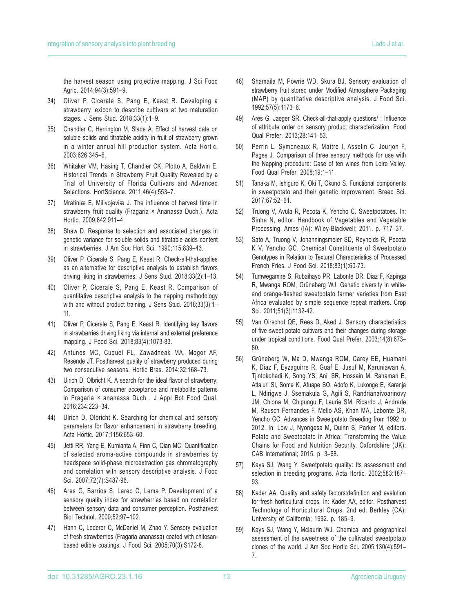the harvest season using projective mapping. J Sci Food Agric. 2014;94(3):591–9.

- 34) Oliver P, Cicerale S, Pang E, Keast R. Developing a strawberry lexicon to describe cultivars at two maturation stages. J Sens Stud. 2018;33(1):1–9.
- 35) Chandler C, Herrington M, Slade A. Effect of harvest date on soluble solids and titratable acidity in fruit of strawberry grown in a winter annual hill production system. Acta Hortic. 2003;626:345–6.
- 36) Whitaker VM, Hasing T, Chandler CK, Plotto A, Baldwin E. Historical Trends in Strawberry Fruit Quality Revealed by a Trial of University of Florida Cultivars and Advanced Selections. HortScience. 2011;46(4):553–7.
- 37) Mratiniæ E, Milivojeviæ J. The influence of harvest time in strawberry fruit quality (Fragaria × Ananassa Duch.). Acta Hortic. 2009;842:911–4.
- 38) Shaw D. Response to selection and associated changes in genetic variance for soluble solids and titratable acids content in strawberries. J Am Soc Hort Sci. 1990;115:839–43.
- 39) Oliver P, Cicerale S, Pang E, Keast R. Check-all-that-applies as an alternative for descriptive analysis to establish flavors driving liking in strawberries. J Sens Stud. 2018;33(2):1–13.
- 40) Oliver P, Cicerale S, Pang E, Keast R. Comparison of quantitative descriptive analysis to the napping methodology with and without product training. J Sens Stud. 2018;33(3):1-11.
- 41) Oliver P, Cicerale S, Pang E, Keast R. Identifying key flavors in strawberries driving liking via internal and external preference mapping. J Food Sci. 2018;83(4):1073-83.
- 42) Antunes MC, Cuquel FL, Zawadneak MA, Mogor AF, Resende JT. Postharvest quality of strawberry produced during two consecutive seasons. Hortic Bras. 2014;32:168–73.
- 43) Ulrich D, Olbricht K. A search for the ideal flavor of strawberry: Comparison of consumer acceptance and metabolite patterns in Fragaria × ananassa Duch . J Appl Bot Food Qual. 2016;234:223–34.
- 44) Ulrich D, Olbricht K. Searching for chemical and sensory parameters for flavor enhancement in strawberry breeding. Acta Hortic. 2017;1156:653–60.
- 45) Jetti RR, Yang E, Kurnianta A, Finn C, Qian MC. Quantification of selected aroma-active compounds in strawberries by headspace solid-phase microextraction gas chromatography and correlation with sensory descriptive analysis. J Food Sci. 2007;72(7):S487-96.
- 46) Ares G, Barrios S, Lareo C, Lema P. Development of a sensory quality index for strawberries based on correlation between sensory data and consumer perception. Postharvest Biol Technol. 2009;52:97–102.
- 47) Hann C, Lederer C, McDaniel M, Zhao Y. Sensory evaluation of fresh strawberries (Fragaria ananassa) coated with chitosanbased edible coatings. J Food Sci. 2005;70(3):S172-8.
- 48) Shamaila M, Powrie WD, Skura BJ. Sensory evaluation of strawberry fruit stored under Modified Atmosphere Packaging (MAP) by quantitative descriptive analysis. J Food Sci. 1992;57(5):1173–6.
- 49) Ares G, Jaeger SR. Check-all-that-apply questions/ : Influence of attribute order on sensory product characterization. Food Qual Prefer. 2013;28:141–53.
- 50) Perrin L, Symoneaux R, Maître I, Asselin C, Jourjon F, Pages J. Comparison of three sensory methods for use with the Napping procedure: Case of ten wines from Loire Valley. Food Qual Prefer. 2008;19:1–11.
- 51) Tanaka M, Ishiguro K, Oki T, Okuno S. Functional components in sweetpotato and their genetic improvement. Breed Sci. 2017;67:52–61.
- 52) Truong V, Avula R, Pecota K, Yencho C. Sweetpotatoes. In: Sinha N, editor. Handbook of Vegetables and Vegetable Processing. Ames (IA): Wiley-Blackwell; 2011. p. 717–37.
- 53) Sato A, Truong V, Johanningsmeier SD, Reynolds R, Pecota K V, Yencho GC. Chemical Constituents of Sweetpotato Genotypes in Relation to Textural Characteristics of Processed French Fries. J Food Sci. 2018;83(1):60-73.
- 54) Tumwegamire S, Rubaihayo PR, Labonte DR, Diaz F, Kapinga R, Mwanga ROM, Grüneberg WJ. Genetic diversity in whiteand orange-fleshed sweetpotato farmer varieties from East Africa evaluated by simple sequence repeat markers. Crop Sci. 2011;51(3):1132-42.
- 55) Van Oirschot QE, Rees D, Aked J. Sensory characteristics of five sweet potato cultivars and their changes during storage under tropical conditions. Food Qual Prefer. 2003;14(8):673– 80.
- 56) Grûneberg W, Ma D, Mwanga ROM, Carey EE, Huamani K, Diaz F, Eyzaguirre R, Guaf E, Jusuf M, Karuniawan A, Tjintokohadi K, Song YS, Anil SR, Hossain M, Rahaman E, Attaluri SI, Some K, Afuape SO, Adofo K, Lukonge E, Karanja L, Ndirigwe J, Ssemakula G, Agili S, Randrianaivoarinovy JM, Chiona M, Chipungu F, Laurie SM, Ricardo J, Andrade M, Rausch Fernandes F, Mello AS, Khan MA, Labonte DR, Yencho GC. Advances in Sweetpotato Breeding from 1992 to 2012. In: Low J, Nyongesa M, Quinn S, Parker M, editors. Potato and Sweetpotato in Africa: Transforming the Value Chains for Food and Nutrition Security. Oxfordshire (UK): CAB International; 2015. p. 3–68.
- 57) Kays SJ, Wang Y. Sweetpotato quality: Its assessment and selection in breeding programs. Acta Hortic. 2002;583:187– 93.
- 58) Kader AA. Quality and safety factors:definition and evalution for fresh horticultural crops. In: Kader AA, editor. Postharvest Technology of Horticultural Crops. 2nd ed. Berkley (CA): University of California; 1992. p. 185–9.
- 59) Kays SJ, Wang Y, Mclaurin WJ. Chemical and geographical assessment of the sweetness of the cultivated sweetpotato clones of the world. J Am Soc Hortic Sci. 2005;130(4):591– 7.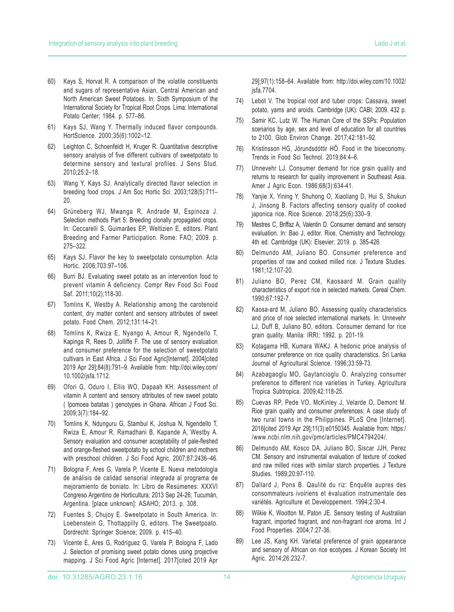- 61) Kays SJ, Wang Y. Thermally induced flavor compounds. HortScience. 2000;35(6):1002–12.
- 62) Leighton C, Schoenfeldt H, Kruger R. Quantitative descriptive sensory analysis of five different cultivars of sweetpotato to determine sensory and textural profiles. J Sens Stud. 2010;25:2–18.
- Wang Y, Kays SJ. Analytically directed flavor selection in breeding food crops. J Am Soc Hortic Sci. 2003;128(5):711– 20.
- 64) Grüneberg WJ, Mwanga R, Andrade M, Espinoza J. Selection methods Part 5: Breeding clonally propagated crops. In: Ceccarelli S, Guimarães EP, Weltizien E, editors. Plant Breeding and Farmer Participation. Rome: FAO; 2009. p. 275–322.
- 65) Kays SJ. Flavor the key to sweetpotato consumption. Acta Hortic. 2006;703:97–106.
- 66) Burri BJ. Evaluating sweet potato as an intervention food to prevent vitamin A deficiency. Compr Rev Food Sci Food Saf. 2011;10(2);118-30.
- 67) Tomlins K, Westby A. Relationship among the carotenoid content, dry matter content and sensory attributes of sweet potato. Food Chem. 2012;131:14–21.
- 68) Tomlins K, Rwiza E, Nyango A, Amour R, Ngendello T, Kapinga R, Rees D, Jolliffe F. The use of sensory evaluation and consumer preference for the selection of sweetpotato cultivars in East Africa. J Sci Food Agric[Internet]. 2004[cited 2019 Apr 29];84(8):791–9. Available from: http://doi.wiley.com/ 10.1002/jsfa.1712.
- 69) Ofori G, Oduro I, Ellis WO, Dapaah KH. Assessment of vitamin A content and sensory attributes of new sweet potato ( Ipomoea batatas ) genotypes in Ghana. African J Food Sci. 2009;3(7):184–92.
- 70) Tomlins K, Ndunguru G, Stambul K, Joshua N, Ngendello T, Rwiza E, Amour R, Ramadhani B, Kapande A, Westby A. Sensory evaluation and consumer acceptability of pale-fleshed and orange-fleshed sweetpotato by school children and mothers with preschool children. J Sci Food Agric. 2007;87:2436–46.
- 71) Bologna F, Ares G, Varela P, Vicente E. Nueva metodología de análisis de calidad sensorial integrada al programa de mejoramiento de boniato. In: Libro de Resúmenes: XXXVI Congreso Argentino de Horticultura; 2013 Sep 24-26; Tucumán, Argentina. [place unknown]: ASAHO; 2013. p. 308.
- 72) Fuentes S, Chujoy E. Sweetpotato in South America. In: Loebenstein G, Thottappilly G, editors. The Sweetpoato. Dordrecht: Springer Science; 2009. p. 415–40.
- 73) Vicente E, Ares G, Rodríguez G, Varela P, Bologna F, Lado J. Selection of promising sweet potato clones using projective mapping. J Sci Food Agric [Internet]. 2017[cited 2019 Apr

29];97(1):158–64. Available from: http://doi.wiley.com/10.1002/ jsfa.7704.

- 74) Lebot V. The tropical root and tuber crops: Cassava, sweet potato, yams and aroids. Cambridge (UK): CABI; 2009. 432 p.
- 75) Samir KC, Lutz W. The Human Core of the SSPs: Population scenarios by age, sex and level of education for all countries to 2100. Glob Environ Change. 2017;42:181–92.
- 76) Kristinsson HG, Jörundsdóttir HÓ. Food in the bioeconomy. Trends in Food Sci Technol. 2019;84:4–6.
- 77) Unnevehr LJ. Consumer demand for rice grain quality and returns to research for quality improvement in Southeast Asia. Amer J Agric Econ. 1986;68(3):634-41.
- 78) Yanjie X, Yining Y, Shuhong O, Xiaoliang D, Hui S, Shukun J, Jinsong B. Factors affecting sensory quality of cooked japonica rice. Rice Science. 2018;25(6):330–9.
- 79) Mestres C, Briffaz A, Valentin D. Consumer demand and sensory evaluation. In: Bao J, editor. Rice, Chemistry and Technology. 4th ed. Cambridge (UK): Elsevier; 2019. p. 385-426.
- 80) Delmundo AM, Juliano BO. Consumer preference and properties of raw and cooked milled rice. J Texture Studies. 1981;12:107-20.
- 81) Juliano BO, Perez CM, Kaosaard M. Grain quality characteristics of export rice in selected markets. Cereal Chem. 1990;67:192-7.
- 82) Kaosa-ard M, Juliano BO, Assessing quality characteristics and price of rice selected international markets. In: Unnevehr LJ, Duff B, Juliano BO, editors. Consumer demand for rice grain quality. Manila: IRRI; 1992. p. 201-19.
- 83) Kotagama HB, Kumara WAKJ. A hedonic price analysis of consumer preference on rice quality characteristics. Sri Lanka Journal of Agricultural Science. 1996;33:59-73.
- 84) Azabagaoglu MO, Gaytancioglu O. Analyzing consumer preference to different rice varieties in Turkey. Agricultura Tropica Subtropica. 2009;42:118-25.
- 85) Cuevas RP, Pede VO, McKinley J, Velarde O, Demont M. Rice grain quality and consumer preferences: A case study of two rural towns in the Philippines. PLoS One [Internet]. 2016[cited 2019 Apr 29];11(3):e0150345. Available from: https:/ /www.ncbi.nlm.nih.gov/pmc/articles/PMC4794204/.
- 86) Delmundo AM, Kosco DA, Juliano BO, Siscar JJH, Perez CM. Sensory and instrumental evaluation of texture of cooked and raw milled rices with similar starch properties. J Texture Studies. 1989;20:97-110.
- 87) Dallard J, Pons B. Qaulité du riz: Enquête aupres des consommateurs ivoiriens et évaluation instrumentale des variétés. Agriculture et Developpement. 1994;2:30-4.
- 88) Wilkie K, Wootton M, Paton JE. Sensory testing of Australian fragrant, imported fragrant, and non-fragrant rice aroma. Int J Food Properties. 2004;7:27-36.
- 89) Lee JS, Kang KH. Varietal preference of grain appearance and sensory of African on rice ecotypes. J Korean Society Int Agric. 2014;26:232-7.